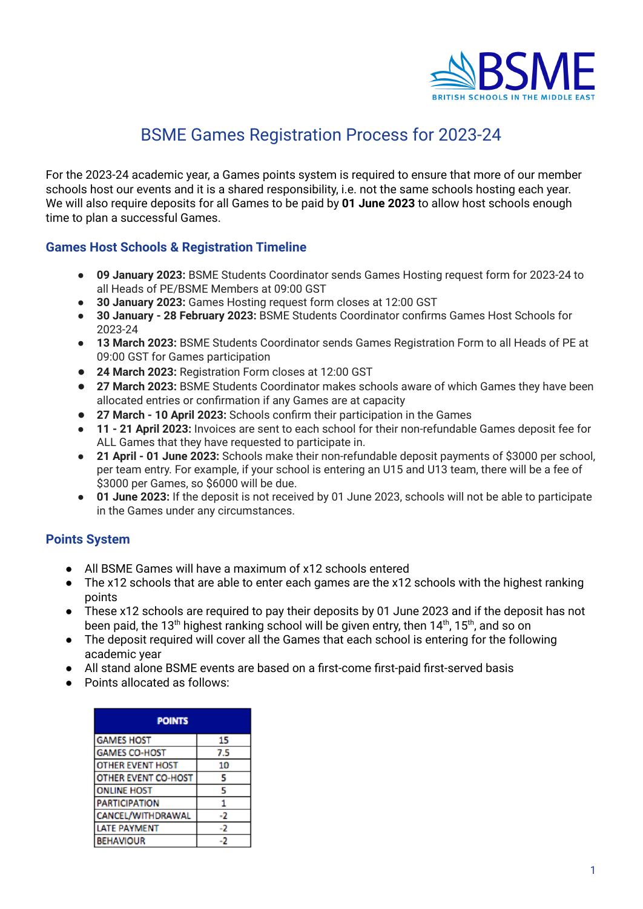

## BSME Games Registration Process for 2023-24

For the 2023-24 academic year, a Games points system is required to ensure that more of our member schools host our events and it is a shared responsibility, i.e. not the same schools hosting each year. We will also require deposits for all Games to be paid by **01 June 2023** to allow host schools enough time to plan a successful Games.

## **Games Host Schools & Registration Timeline**

- **09 January 2023:** BSME Students Coordinator sends Games Hosting request form for 2023-24 to all Heads of PE/BSME Members at 09:00 GST
- **● 30 January 2023:** Games Hosting request form closes at 12:00 GST
- **30 January 28 February 2023:** BSME Students Coordinator confirms Games Host Schools for 2023-24
- **13 March 2023:** BSME Students Coordinator sends Games Registration Form to all Heads of PE at 09:00 GST for Games participation
- **24 March 2023:** Registration Form closes at 12:00 GST
- **27 March 2023:** BSME Students Coordinator makes schools aware of which Games they have been allocated entries or confirmation if any Games are at capacity
- **27 March 10 April 2023:** Schools confirm their participation in the Games
- **11 21 April 2023:** Invoices are sent to each school for their non-refundable Games deposit fee for ALL Games that they have requested to participate in.
- **21 April 01 June 2023:** Schools make their non-refundable deposit payments of \$3000 per school, per team entry. For example, if your school is entering an U15 and U13 team, there will be a fee of \$3000 per Games, so \$6000 will be due.
- **01 June 2023:** If the deposit is not received by 01 June 2023, schools will not be able to participate in the Games under any circumstances.

## **Points System**

- All BSME Games will have a maximum of x12 schools entered
- The x12 schools that are able to enter each games are the x12 schools with the highest ranking points
- These x12 schools are required to pay their deposits by 01 June 2023 and if the deposit has not been paid, the 13<sup>th</sup> highest ranking school will be given entry, then 14<sup>th</sup>, 15<sup>th</sup>, and so on
- The deposit required will cover all the Games that each school is entering for the following academic year
- All stand alone BSME events are based on a first-come first-paid first-served basis
- Points allocated as follows:

| <b>POINTS</b>               |     |
|-----------------------------|-----|
| <b>GAMES HOST</b>           | 15  |
| <b>GAMES CO-HOST</b>        | 7.5 |
| OTHER EVENT HOST            | 10  |
| OTHER EVENT CO-HOST         | 5   |
| <b>ONLINE HOST</b>          | 5   |
| <b><i>PARTICIPATION</i></b> |     |
| CANCEL/WITHDRAWAL           | -2  |
| LATE PAYMENT                | -2  |
| <b>BEHAVIOUR</b>            |     |